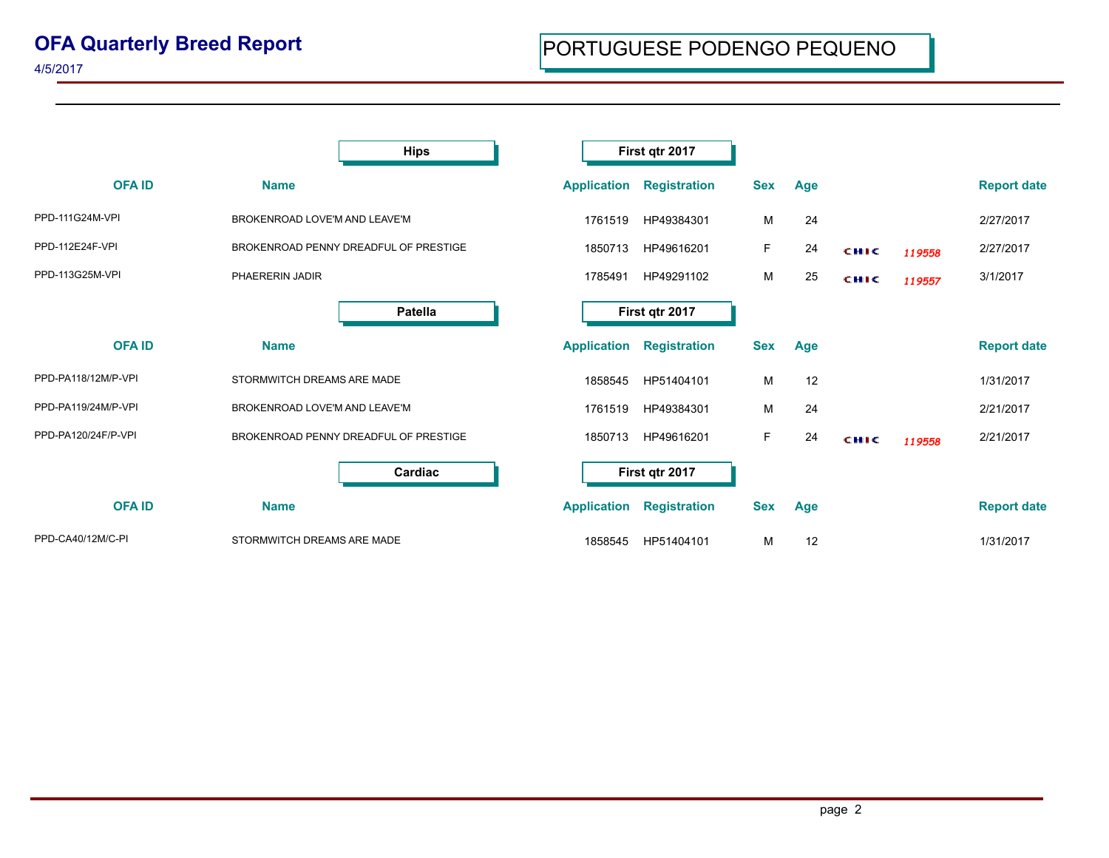## **OFA Quarterly Breed Report**

|                     | <b>Hips</b>                           |                    | First qtr 2017      |            |     |             |        |                    |
|---------------------|---------------------------------------|--------------------|---------------------|------------|-----|-------------|--------|--------------------|
| <b>OFAID</b>        | <b>Name</b>                           | <b>Application</b> | <b>Registration</b> | <b>Sex</b> | Age |             |        | <b>Report date</b> |
| PPD-111G24M-VPI     | BROKENROAD LOVE'M AND LEAVE'M         | 1761519            | HP49384301          | М          | 24  |             |        | 2/27/2017          |
| PPD-112E24F-VPI     | BROKENROAD PENNY DREADFUL OF PRESTIGE | 1850713            | HP49616201          | F          | 24  | CHIC        | 119558 | 2/27/2017          |
| PPD-113G25M-VPI     | PHAERERIN JADIR                       | 1785491            | HP49291102          | М          | 25  | <b>CHIC</b> | 119557 | 3/1/2017           |
|                     | <b>Patella</b>                        |                    | First qtr 2017      |            |     |             |        |                    |
| <b>OFAID</b>        | <b>Name</b>                           | <b>Application</b> | <b>Registration</b> | <b>Sex</b> | Age |             |        | <b>Report date</b> |
| PPD-PA118/12M/P-VPI | STORMWITCH DREAMS ARE MADE            | 1858545            | HP51404101          | M          | 12  |             |        | 1/31/2017          |
| PPD-PA119/24M/P-VPI | BROKENROAD LOVE'M AND LEAVE'M         | 1761519            | HP49384301          | м          | 24  |             |        | 2/21/2017          |
| PPD-PA120/24F/P-VPI | BROKENROAD PENNY DREADFUL OF PRESTIGE | 1850713            | HP49616201          | F          | 24  | CHIC        | 119558 | 2/21/2017          |
|                     | Cardiac                               |                    | First qtr 2017      |            |     |             |        |                    |
| <b>OFAID</b>        | <b>Name</b>                           | <b>Application</b> | <b>Registration</b> | <b>Sex</b> | Age |             |        | <b>Report date</b> |
| PPD-CA40/12M/C-PI   | STORMWITCH DREAMS ARE MADE            | 1858545            | HP51404101          | M          | 12  |             |        | 1/31/2017          |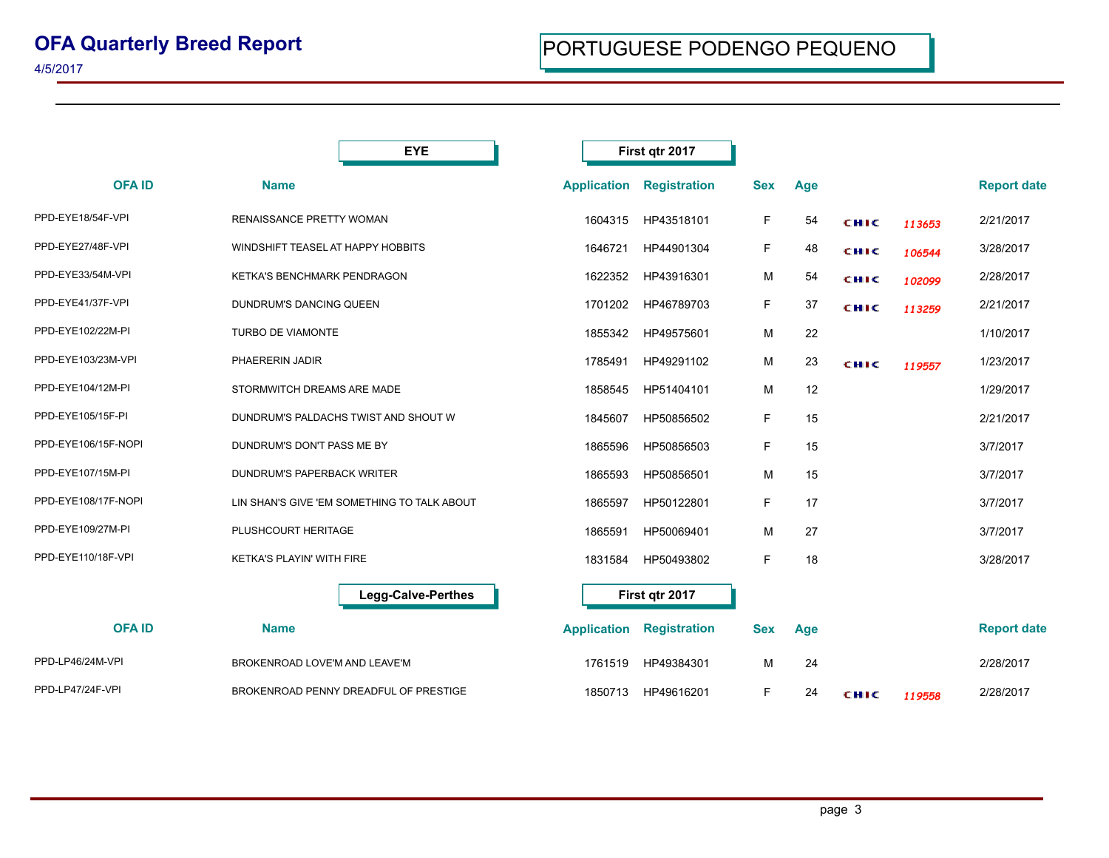|                     | <b>EYE</b>                                  |                    | First qtr 2017      |            |     |             |        |                    |
|---------------------|---------------------------------------------|--------------------|---------------------|------------|-----|-------------|--------|--------------------|
| <b>OFAID</b>        | <b>Name</b>                                 | <b>Application</b> | <b>Registration</b> | <b>Sex</b> | Age |             |        | <b>Report date</b> |
| PPD-EYE18/54F-VPI   | RENAISSANCE PRETTY WOMAN                    | 1604315            | HP43518101          | F          | 54  | CHIC        | 113653 | 2/21/2017          |
| PPD-EYE27/48F-VPI   | WINDSHIFT TEASEL AT HAPPY HOBBITS           | 1646721            | HP44901304          | F          | 48  | <b>CHIC</b> | 106544 | 3/28/2017          |
| PPD-EYE33/54M-VPI   | KETKA'S BENCHMARK PENDRAGON                 | 1622352            | HP43916301          | M          | 54  | <b>CHIC</b> | 102099 | 2/28/2017          |
| PPD-EYE41/37F-VPI   | DUNDRUM'S DANCING QUEEN                     | 1701202            | HP46789703          | F          | 37  | CHIC        | 113259 | 2/21/2017          |
| PPD-EYE102/22M-PI   | TURBO DE VIAMONTE                           | 1855342            | HP49575601          | м          | 22  |             |        | 1/10/2017          |
| PPD-EYE103/23M-VPI  | PHAERERIN JADIR                             | 1785491            | HP49291102          | М          | 23  | CHIC        | 119557 | 1/23/2017          |
| PPD-EYE104/12M-PI   | STORMWITCH DREAMS ARE MADE                  | 1858545            | HP51404101          | м          | 12  |             |        | 1/29/2017          |
| PPD-EYE105/15F-PI   | DUNDRUM'S PALDACHS TWIST AND SHOUT W        | 1845607            | HP50856502          | F          | 15  |             |        | 2/21/2017          |
| PPD-EYE106/15F-NOPI | DUNDRUM'S DON'T PASS ME BY                  | 1865596            | HP50856503          | F          | 15  |             |        | 3/7/2017           |
| PPD-EYE107/15M-PI   | <b>DUNDRUM'S PAPERBACK WRITER</b>           | 1865593            | HP50856501          | M          | 15  |             |        | 3/7/2017           |
| PPD-EYE108/17F-NOPI | LIN SHAN'S GIVE 'EM SOMETHING TO TALK ABOUT | 1865597            | HP50122801          | F          | 17  |             |        | 3/7/2017           |
| PPD-EYE109/27M-PI   | PLUSHCOURT HERITAGE                         | 1865591            | HP50069401          | м          | 27  |             |        | 3/7/2017           |
| PPD-EYE110/18F-VPI  | KETKA'S PLAYIN' WITH FIRE                   | 1831584            | HP50493802          | F          | 18  |             |        | 3/28/2017          |
|                     | <b>Legg-Calve-Perthes</b>                   |                    | First qtr 2017      |            |     |             |        |                    |
| <b>OFAID</b>        | <b>Name</b>                                 | <b>Application</b> | <b>Registration</b> | <b>Sex</b> | Age |             |        | <b>Report date</b> |
| PPD-LP46/24M-VPI    | BROKENROAD LOVE'M AND LEAVE'M               | 1761519            | HP49384301          | м          | 24  |             |        | 2/28/2017          |
| PPD-LP47/24F-VPI    | BROKENROAD PENNY DREADFUL OF PRESTIGE       | 1850713            | HP49616201          | F          | 24  | CHIC        | 119558 | 2/28/2017          |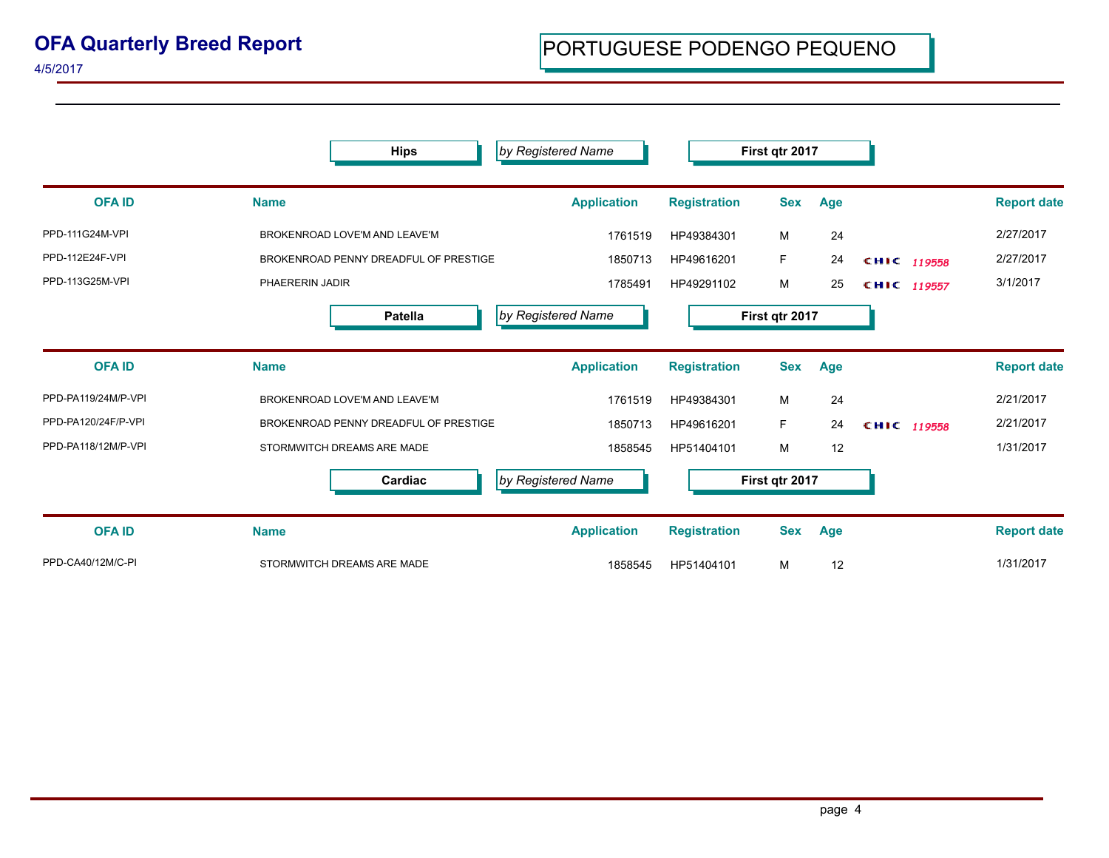| <b>OFA Quarterly Breed Report</b> |  |  |
|-----------------------------------|--|--|
|-----------------------------------|--|--|